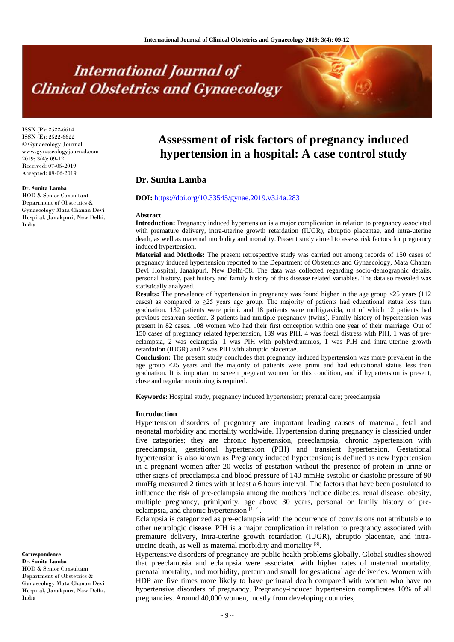# **International Journal of Clinical Obstetrics and Gynaecology**

ISSN (P): 2522-6614 ISSN (E): 2522-6622 © Gynaecology Journal www.gynaecologyjournal.com 2019; 3(4): 09-12 Received: 07-05-2019 Accepted: 09-06-2019

#### **Dr. Sunita Lamba**

HOD & Senior Consultant Department of Obstetrics & Gynaecology Mata Chanan Devi Hospital, Janakpuri, New Delhi, India

# **Assessment of risk factors of pregnancy induced hypertension in a hospital: A case control study**

# **Dr. Sunita Lamba**

# **DOI:** <https://doi.org/10.33545/gynae.2019.v3.i4a.283>

#### **Abstract**

**Introduction:** Pregnancy induced hypertension is a major complication in relation to pregnancy associated with premature delivery, intra-uterine growth retardation (IUGR), abruptio placentae, and intra-uterine death, as well as maternal morbidity and mortality. Present study aimed to assess risk factors for pregnancy induced hypertension.

**Material and Methods:** The present retrospective study was carried out among records of 150 cases of pregnancy induced hypertension reported to the Department of Obstetrics and Gynaecology, Mata Chanan Devi Hospital, Janakpuri, New Delhi-58. The data was collected regarding socio-demographic details, personal history, past history and family history of this disease related variables. The data so revealed was statistically analyzed.

**Results:** The prevalence of hypertension in pregnancy was found higher in the age group <25 years (112) cases) as compared to  $\geq 25$  years age group. The majority of patients had educational status less than graduation. 132 patients were primi. and 18 patients were multigravida, out of which 12 patients had previous cesarean section. 3 patients had multiple pregnancy (twins). Family history of hypertension was present in 82 cases. 108 women who had their first conception within one year of their marriage. Out of 150 cases of pregnancy related hypertension, 139 was PIH, 4 was foetal distress with PIH, 1 was of preeclampsia, 2 was eclampsia, 1 was PIH with polyhydramnios, 1 was PIH and intra-uterine growth retardation (IUGR) and 2 was PIH with abruptio placentae.

**Conclusion:** The present study concludes that pregnancy induced hypertension was more prevalent in the age group <25 years and the majority of patients were primi and had educational status less than graduation. It is important to screen pregnant women for this condition, and if hypertension is present, close and regular monitoring is required.

**Keywords:** Hospital study, pregnancy induced hypertension; prenatal care; preeclampsia

#### **Introduction**

Hypertension disorders of pregnancy are important leading causes of maternal, fetal and neonatal morbidity and mortality worldwide. Hypertension during pregnancy is classified under five categories; they are chronic hypertension, preeclampsia, chronic hypertension with preeclampsia, gestational hypertension (PIH) and transient hypertension. Gestational hypertension is also known as Pregnancy induced hypertension; is defined as new hypertension in a pregnant women after 20 weeks of gestation without the presence of protein in urine or other signs of preeclampsia and blood pressure of 140 mmHg systolic or diastolic pressure of 90 mmHg measured 2 times with at least a 6 hours interval. The factors that have been postulated to influence the risk of pre-eclampsia among the mothers include diabetes, renal disease, obesity, multiple pregnancy, primiparity, age above 30 years, personal or family history of preeclampsia, and chronic hypertension  $[1, 2]$ .

Eclampsia is categorized as pre-eclampsia with the occurrence of convulsions not attributable to other neurologic disease. PIH is a major complication in relation to pregnancy associated with premature delivery, intra-uterine growth retardation (IUGR), abruptio placentae, and intrauterine death, as well as maternal morbidity and mortality <sup>[3]</sup>.

Hypertensive disorders of pregnancy are public health problems globally. Global studies showed that preeclampsia and eclampsia were associated with higher rates of maternal mortality, prenatal mortality, and morbidity, preterm and small for gestational age deliveries. Women with HDP are five times more likely to have perinatal death compared with women who have no hypertensive disorders of pregnancy. Pregnancy-induced hypertension complicates 10% of all pregnancies. Around 40,000 women, mostly from developing countries,

**Correspondence Dr. Sunita Lamba** HOD & Senior Consultant Department of Obstetrics & Gynaecology Mata Chanan Devi Hospital, Janakpuri, New Delhi, India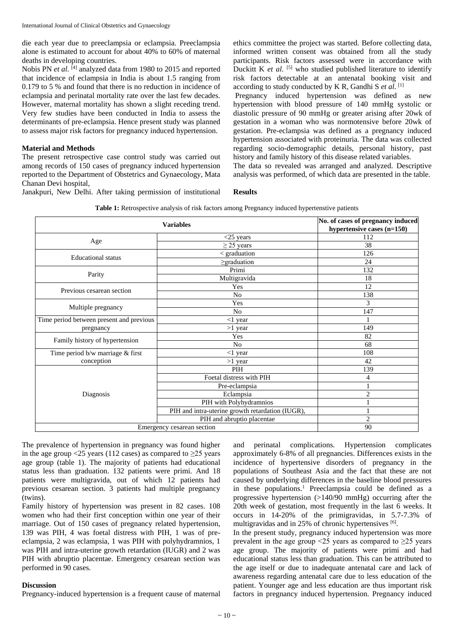die each year due to preeclampsia or eclampsia. Preeclampsia alone is estimated to account for about 40% to 60% of maternal deaths in developing countries.

Nobis PN *et al.* [4] analyzed data from 1980 to 2015 and reported that incidence of eclampsia in India is about 1.5 ranging from 0.179 to 5 % and found that there is no reduction in incidence of eclampsia and perinatal mortality rate over the last few decades. However, maternal mortality has shown a slight receding trend. Very few studies have been conducted in India to assess the determinants of pre-eclampsia. Hence present study was planned to assess major risk factors for pregnancy induced hypertension.

# **Material and Methods**

The present retrospective case control study was carried out among records of 150 cases of pregnancy induced hypertension reported to the Department of Obstetrics and Gynaecology, Mata Chanan Devi hospital,

Janakpuri, New Delhi. After taking permission of institutional

ethics committee the project was started. Before collecting data, informed written consent was obtained from all the study participants. Risk factors assessed were in accordance with Duckitt K et al. <sup>[5]</sup> who studied published literature to identify risk factors detectable at an antenatal booking visit and according to study conducted by K R, Gandhi S *et al*. [1]

Pregnancy induced hypertension was defined as new hypertension with blood pressure of 140 mmHg systolic or diastolic pressure of 90 mmHg or greater arising after 20wk of gestation in a woman who was normotensive before 20wk of gestation. Pre-eclampsia was defined as a pregnancy induced hypertension associated with proteinuria. The data was collected regarding socio-demographic details, personal history, past history and family history of this disease related variables.

The data so revealed was arranged and analyzed. Descriptive analysis was performed, of which data are presented in the table.

# **Results**

|  | <b>Table 1:</b> Retrospective analysis of risk factors among Pregnancy induced hypertenstive patients |  |
|--|-------------------------------------------------------------------------------------------------------|--|
|  |                                                                                                       |  |

|                                          | No. of cases of pregnancy induced<br>hypertensive cases (n=150) |                |
|------------------------------------------|-----------------------------------------------------------------|----------------|
|                                          | $<$ 25 years                                                    | 112            |
| Age                                      | $\geq$ 25 years                                                 | 38             |
| <b>Educational</b> status                | < graduation                                                    | 126            |
|                                          | $\geq$ graduation                                               | 24             |
| Parity                                   | Primi                                                           | 132            |
|                                          | Multigravida                                                    | 18             |
| Previous cesarean section                | Yes                                                             | 12             |
|                                          | No                                                              | 138            |
|                                          | Yes                                                             | 3              |
| Multiple pregnancy                       | No.                                                             | 147            |
| Time period between present and previous | $<$ 1 year                                                      |                |
| pregnancy                                | $>1$ year                                                       | 149            |
| Family history of hypertension           | Yes                                                             | 82             |
|                                          | No                                                              | 68             |
| Time period b/w marriage & first         | $<$ 1 year                                                      | 108            |
| conception                               | $>1$ year                                                       | 42             |
|                                          | PIH                                                             | 139            |
|                                          | Foetal distress with PIH                                        | 4              |
|                                          | Pre-eclampsia                                                   |                |
| Diagnosis                                | Eclampsia                                                       | $\overline{2}$ |
|                                          | PIH with Polyhydramnios                                         |                |
|                                          | PIH and intra-uterine growth retardation (IUGR),                |                |
|                                          | PIH and abruptio placentae                                      | $\overline{2}$ |
| Emergency cesarean section               | 90                                                              |                |

The prevalence of hypertension in pregnancy was found higher in the age group <25 years (112 cases) as compared to  $\geq$ 25 years age group (table 1). The majority of patients had educational status less than graduation. 132 patients were primi. And 18 patients were multigravida, out of which 12 patients had previous cesarean section. 3 patients had multiple pregnancy (twins).

Family history of hypertension was present in 82 cases. 108 women who had their first conception within one year of their marriage. Out of 150 cases of pregnancy related hypertension, 139 was PIH, 4 was foetal distress with PIH, 1 was of preeclampsia, 2 was eclampsia, 1 was PIH with polyhydramnios, 1 was PIH and intra-uterine growth retardation (IUGR) and 2 was PIH with abruptio placentae. Emergency cesarean section was performed in 90 cases.

# **Discussion**

Pregnancy-induced hypertension is a frequent cause of maternal

perinatal complications. Hypertension complicates approximately 6-8% of all pregnancies. Differences exists in the incidence of hypertensive disorders of pregnancy in the populations of Southeast Asia and the fact that these are not caused by underlying differences in the baseline blood pressures in these populations.<sup>1</sup> Preeclampsia could be defined as a progressive hypertension (>140/90 mmHg) occurring after the 20th week of gestation, most frequently in the last 6 weeks. It occurs in 14-20% of the primigravidas, in 5.7-7.3% of multigravidas and in 25% of chronic hypertensives [6].

In the present study, pregnancy induced hypertension was more prevalent in the age group  $\leq$  25 years as compared to  $\geq$  25 years age group. The majority of patients were primi and had educational status less than graduation. This can be attributed to the age itself or due to inadequate antenatal care and lack of awareness regarding antenatal care due to less education of the patient. Younger age and less education are thus important risk factors in pregnancy induced hypertension. Pregnancy induced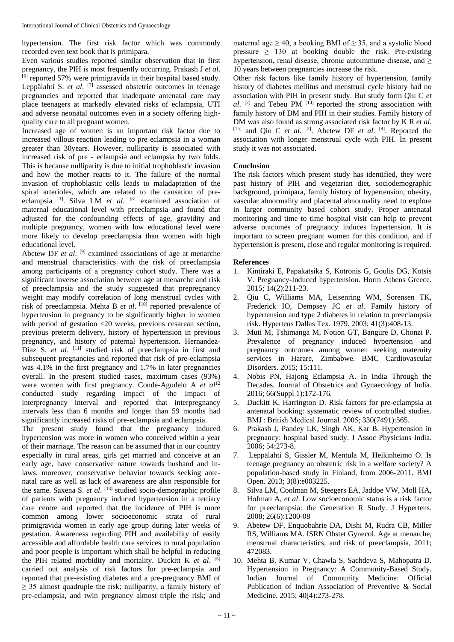hypertension. The first risk factor which was commonly recorded even text book that is primipara.

Even various studies reported similar observation that in first pregnancy, the PIH is most frequently occurring. Prakash J *et al*. <sup>[6]</sup> reported 57% were primigravida in their hospital based study. Leppälahti S. et al. <sup>[7]</sup> assessed obstetric outcomes in teenage pregnancies and reported that inadequate antenatal care may place teenagers at markedly elevated risks of eclampsia, UTI and adverse neonatal outcomes even in a society offering highquality care to all pregnant women.

Increased age of women is an important risk factor due to increased villous reaction leading to pre eclampsia in a woman greater than 30years. However, nulliparity is associated with increased risk of pre - eclampsia and eclampsia by two folds. This is because nulliparity is due to initial trophoblastic invasion and how the mother reacts to it. The failure of the normal invasion of trophoblastic cells leads to maladaptation of the spiral arterioles, which are related to the causation of preeclampsia<sup>[1]</sup>. Silva LM *et al.* <sup>[8]</sup> examined association of maternal educational level with preeclampsia and found that adjusted for the confounding effects of age, gravidity and multiple pregnancy, women with low educational level were more likely to develop preeclampsia than women with high educational level.

Abetew DF *et al.* <sup>[9]</sup> examined associations of age at menarche and menstrual characteristics with the risk of preeclampsia among participants of a pregnancy cohort study. There was a significant inverse association between age at menarche and risk of preeclampsia and the study suggested that prepregnancy weight may modify correlation of long menstrual cycles with risk of preeclampsia. Mehta B et al. [10] reported prevalence of hypertension in pregnancy to be significantly higher in women with period of gestation <20 weeks, previous cesarean section, previous preterm delivery, history of hypertension in previous pregnancy, and history of paternal hypertension. Hernandez-Diaz S. *et al.* <sup>[11]</sup> studied risk of preeclampsia in first and subsequent pregnancies and reported that risk of pre-eclampsia was 4.1% in the first pregnancy and 1.7% in later pregnancies overall. In the present studied cases, maximum cases (93%) were women with first pregnancy. Conde-Agudelo A et al<sup>12</sup> conducted study regarding impact of the impact of interpregnancy interval and reported that interpregnancy intervals less than 6 months and longer than 59 months had significantly increased risks of pre-eclampsia and eclampsia.

The present study found that the pregnancy induced hypertension was more in women who conceived within a year of their marriage. The reason can be assumed that in our country especially in rural areas, girls get married and conceive at an early age, have conservative nature towards husband and inlaws, moreover, conservative behavior towards seeking antenatal care as well as lack of awareness are also responsible for the same. Saxena S. *et al*. [13] studied socio-demographic profile of patients with pregnancy induced hypertension in a tertiary care centre and reported that the incidence of PIH is more common among lower socioeconomic strata of rural primigravida women in early age group during later weeks of gestation. Awareness regarding PIH and availability of easily accessible and affordable health care services to rural population and poor people is important which shall be helpful in reducing the PIH related morbidity and mortality. Duckitt K *et al*. [5] carried out analysis of risk factors for pre-eclampsia and reported that pre-existing diabetes and a pre-pregnancy BMI of  $\geq$  35 almost quadruple the risk; nulliparity, a family history of pre-eclampsia, and twin pregnancy almost triple the risk; and maternal age  $> 40$ , a booking BMI of  $> 35$ , and a systolic blood pressure  $\geq$  130 at booking double the risk. Pre-existing hypertension, renal disease, chronic autoimmune disease, and  $\geq$ 10 years between pregnancies increase the risk.

Other risk factors like family history of hypertension, family history of diabetes mellitus and menstrual cycle history had no association with PIH in present study. But study form Qiu C *et*   $al.$  <sup>[2]</sup> and Tebeu PM  $[14]$  reported the strong association with family history of DM and PIH in their studies. Family history of DM was also found as strong associated risk factor by K R *et al*. [15] and Qiu C *et al*. [2] . Abetew DF *et al*. [9] . Reported the association with longer menstrual cycle with PIH. In present study it was not associated.

# **Conclusion**

The risk factors which present study has identified, they were past history of PIH and vegetarian diet, sociodemographic background, primipara, family history of hypertension, obesity, vascular abnormality and placental abnormality need to explore in larger community based cohort study. Proper antenatal monitoring and time to time hospital visit can help to prevent adverse outcomes of pregnancy induces hypertension. It is important to screen pregnant women for this condition, and if hypertension is present, close and regular monitoring is required.

#### **References**

- 1. Kintiraki E, Papakatsika S, Kotronis G, Goulis DG, Kotsis V. Pregnancy-Induced hypertension. Horm Athens Greece. 2015; 14(2):211-23.
- 2. Qiu C, Williams MA, Leisenring WM, Sorensen TK, Frederick IO, Dempsey JC *et al*. Family history of hypertension and type 2 diabetes in relation to preeclampsia risk. Hypertens Dallas Tex. 1979. 2003; 41(3):408-13.
- 3. Muti M, Tshimanga M, Notion GT, Bangure D, Chonzi P. Prevalence of pregnancy induced hypertension and pregnancy outcomes among women seeking maternity services in Harare, Zimbabwe. BMC Cardiovascular Disorders. 2015; 15:111.
- 4. Nobis PN, Hajong Eclampsia A. In India Through the Decades. Journal of Obstetrics and Gynaecology of India. 2016; 66(Suppl 1):172-176.
- 5. Duckitt K, Harrington D. Risk factors for pre-eclampsia at antenatal booking: systematic review of controlled studies. BMJ : British Medical Journal. 2005; 330(7491):565.
- 6. Prakash J, Pandey LK, Singh AK, Kar B. Hypertension in pregnancy: hospital based study. J Assoc Physicians India. 2006; 54:273-8.
- 7. Leppälahti S, Gissler M, Mentula M, Heikinheimo O. Is teenage pregnancy an obstetric risk in a welfare society? A population-based study in Finland, from 2006-2011. BMJ Open. 2013; 3(8):e003225.
- 8. Silva LM, Coolman M, Steegers EA, Jaddoe VW, Moll HA, Hofman A, *et al*. Low socioeconomic status is a risk factor for preeclampsia: the Generation R Study. J Hypertens. 2008; 26(6):1200-08
- 9. Abetew DF, Enquobahrie DA, Dishi M, Rudra CB, Miller RS, Williams MA. ISRN Obstet Gynecol. Age at menarche, menstrual characteristics, and risk of preeclampsia, 2011; 472083.
- 10. Mehta B, Kumar V, Chawla S, Sachdeva S, Mahopatra D. Hypertension in Pregnancy: A Community-Based Study. Indian Journal of Community Medicine: Official Publication of Indian Association of Preventive & Social Medicine. 2015; 40(4):273-278.